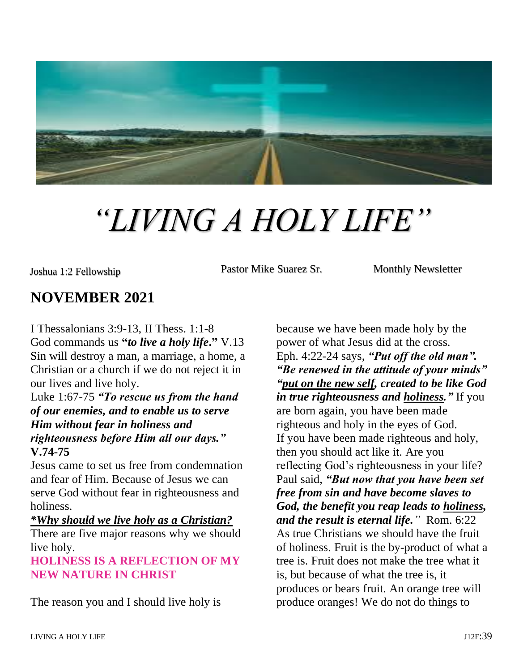

# *"LIVING A HOLY LIFE"*

Joshua 1:2 Fellowship **Pastor Mike Suarez Sr.** Monthly Newsletter

# **NOVEMBER 2021**

I Thessalonians 3:9-13, II Thess. 1:1-8 God commands us **"***to live a holy life***."** V.13 Sin will destroy a man, a marriage, a home, a Christian or a church if we do not reject it in our lives and live holy.

Luke 1:67-75 *"To rescue us from the hand of our enemies, and to enable us to serve Him without fear in holiness and righteousness before Him all our days."* **V.74-75**

Jesus came to set us free from condemnation and fear of Him. Because of Jesus we can serve God without fear in righteousness and holiness.

#### *\*Why should we live holy as a Christian?*

There are five major reasons why we should live holy.

#### **HOLINESS IS A REFLECTION OF MY NEW NATURE IN CHRIST**

The reason you and I should live holy is

because we have been made holy by the power of what Jesus did at the cross. Eph. 4:22-24 says, *"Put off the old man". "Be renewed in the attitude of your minds" "put on the new self, created to be like God in true righteousness and holiness."* If you are born again, you have been made righteous and holy in the eyes of God. If you have been made righteous and holy, then you should act like it. Are you reflecting God's righteousness in your life? Paul said, *"But now that you have been set free from sin and have become slaves to God, the benefit you reap leads to holiness, and the result is eternal life."* Rom. 6:22 As true Christians we should have the fruit of holiness. Fruit is the by-product of what a tree is. Fruit does not make the tree what it is, but because of what the tree is, it produces or bears fruit. An orange tree will produce oranges! We do not do things to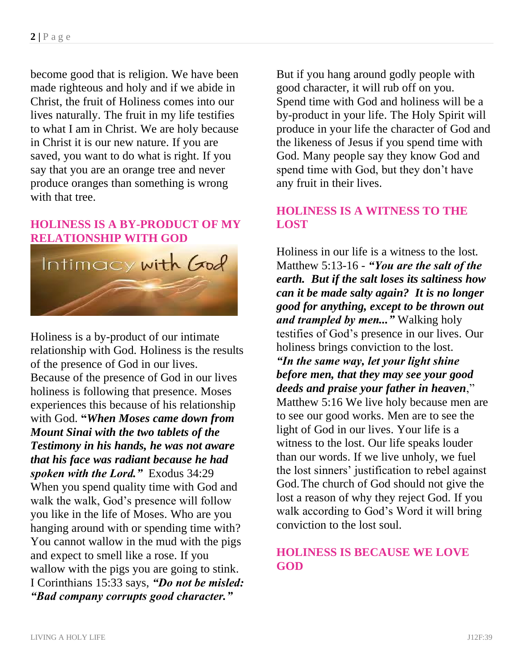become good that is religion. We have been made righteous and holy and if we abide in Christ, the fruit of Holiness comes into our lives naturally. The fruit in my life testifies to what I am in Christ. We are holy because in Christ it is our new nature. If you are saved, you want to do what is right. If you say that you are an orange tree and never produce oranges than something is wrong with that tree.

# **HOLINESS IS A BY-PRODUCT OF MY RELATIONSHIP WITH GOD**



Holiness is a by-product of our intimate relationship with God. Holiness is the results of the presence of God in our lives. Because of the presence of God in our lives holiness is following that presence. Moses experiences this because of his relationship with God. **"***When Moses came down from Mount Sinai with the two tablets of the Testimony in his hands, he was not aware that his face was radiant because he had spoken with the Lord."* Exodus 34:29 When you spend quality time with God and walk the walk, God's presence will follow you like in the life of Moses. Who are you hanging around with or spending time with? You cannot wallow in the mud with the pigs and expect to smell like a rose. If you wallow with the pigs you are going to stink. I Corinthians 15:33 says, *"Do not be misled: "Bad company corrupts good character."*

But if you hang around godly people with good character, it will rub off on you. Spend time with God and holiness will be a by-product in your life. The Holy Spirit will produce in your life the character of God and the likeness of Jesus if you spend time with God. Many people say they know God and spend time with God, but they don't have any fruit in their lives.

#### **HOLINESS IS A WITNESS TO THE LOST**

Holiness in our life is a witness to the lost. Matthew 5:13-16 - *"You are the salt of the earth. But if the salt loses its saltiness how can it be made salty again? It is no longer good for anything, except to be thrown out and trampled by men..."* Walking holy testifies of God's presence in our lives. Our holiness brings conviction to the lost. *"In the same way, let your light shine before men, that they may see your good deeds and praise your father in heaven*," Matthew 5:16 We live holy because men are to see our good works. Men are to see the light of God in our lives. Your life is a witness to the lost. Our life speaks louder than our words. If we live unholy, we fuel the lost sinners' justification to rebel against God.The church of God should not give the lost a reason of why they reject God. If you walk according to God's Word it will bring conviction to the lost soul.

# **HOLINESS IS BECAUSE WE LOVE GOD**